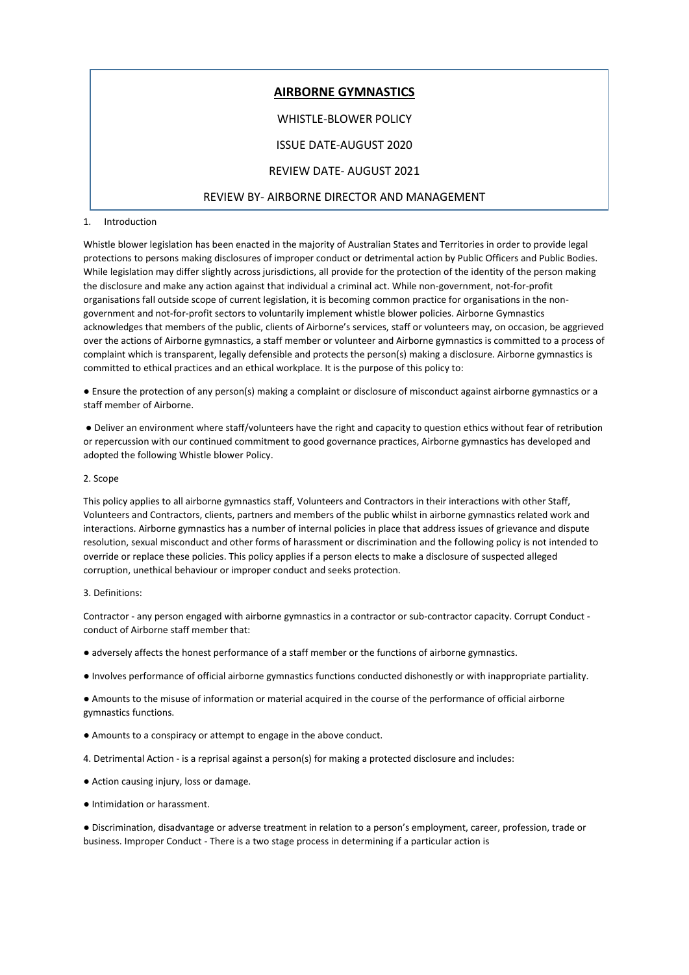# **AIRBORNE GYMNASTICS** WHISTLE-BLOWER POLICY ISSUE DATE-AUGUST 2020 REVIEW DATE- AUGUST 2021 REVIEW BY- AIRBORNE DIRECTOR AND MANAGEMENT

## 1. Introduction

Whistle blower legislation has been enacted in the majority of Australian States and Territories in order to provide legal protections to persons making disclosures of improper conduct or detrimental action by Public Officers and Public Bodies. While legislation may differ slightly across jurisdictions, all provide for the protection of the identity of the person making the disclosure and make any action against that individual a criminal act. While non-government, not-for-profit organisations fall outside scope of current legislation, it is becoming common practice for organisations in the nongovernment and not-for-profit sectors to voluntarily implement whistle blower policies. Airborne Gymnastics acknowledges that members of the public, clients of Airborne's services, staff or volunteers may, on occasion, be aggrieved over the actions of Airborne gymnastics, a staff member or volunteer and Airborne gymnastics is committed to a process of complaint which is transparent, legally defensible and protects the person(s) making a disclosure. Airborne gymnastics is committed to ethical practices and an ethical workplace. It is the purpose of this policy to:

● Ensure the protection of any person(s) making a complaint or disclosure of misconduct against airborne gymnastics or a staff member of Airborne.

● Deliver an environment where staff/volunteers have the right and capacity to question ethics without fear of retribution or repercussion with our continued commitment to good governance practices, Airborne gymnastics has developed and adopted the following Whistle blower Policy.

## 2. Scope

This policy applies to all airborne gymnastics staff, Volunteers and Contractors in their interactions with other Staff, Volunteers and Contractors, clients, partners and members of the public whilst in airborne gymnastics related work and interactions. Airborne gymnastics has a number of internal policies in place that address issues of grievance and dispute resolution, sexual misconduct and other forms of harassment or discrimination and the following policy is not intended to override or replace these policies. This policy applies if a person elects to make a disclosure of suspected alleged corruption, unethical behaviour or improper conduct and seeks protection.

#### 3. Definitions:

Contractor - any person engaged with airborne gymnastics in a contractor or sub-contractor capacity. Corrupt Conduct conduct of Airborne staff member that:

- adversely affects the honest performance of a staff member or the functions of airborne gymnastics.
- Involves performance of official airborne gymnastics functions conducted dishonestly or with inappropriate partiality.

● Amounts to the misuse of information or material acquired in the course of the performance of official airborne gymnastics functions.

- Amounts to a conspiracy or attempt to engage in the above conduct.
- 4. Detrimental Action is a reprisal against a person(s) for making a protected disclosure and includes:
- Action causing injury, loss or damage.
- Intimidation or harassment.

● Discrimination, disadvantage or adverse treatment in relation to a person's employment, career, profession, trade or business. Improper Conduct - There is a two stage process in determining if a particular action is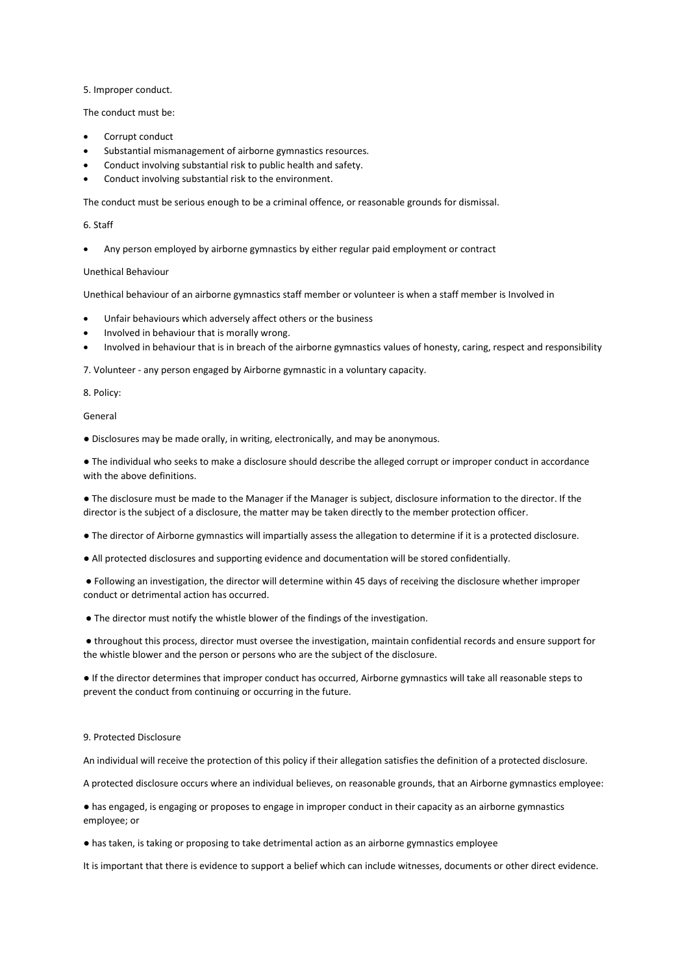5. Improper conduct.

The conduct must be:

- Corrupt conduct
- Substantial mismanagement of airborne gymnastics resources.
- Conduct involving substantial risk to public health and safety.
- Conduct involving substantial risk to the environment.

The conduct must be serious enough to be a criminal offence, or reasonable grounds for dismissal.

### 6. Staff

Any person employed by airborne gymnastics by either regular paid employment or contract

# Unethical Behaviour

Unethical behaviour of an airborne gymnastics staff member or volunteer is when a staff member is Involved in

- Unfair behaviours which adversely affect others or the business
- Involved in behaviour that is morally wrong.
- Involved in behaviour that is in breach of the airborne gymnastics values of honesty, caring, respect and responsibility

7. Volunteer - any person engaged by Airborne gymnastic in a voluntary capacity.

#### 8. Policy:

## General

● Disclosures may be made orally, in writing, electronically, and may be anonymous.

● The individual who seeks to make a disclosure should describe the alleged corrupt or improper conduct in accordance with the above definitions.

● The disclosure must be made to the Manager if the Manager is subject, disclosure information to the director. If the director is the subject of a disclosure, the matter may be taken directly to the member protection officer.

● The director of Airborne gymnastics will impartially assess the allegation to determine if it is a protected disclosure.

● All protected disclosures and supporting evidence and documentation will be stored confidentially.

● Following an investigation, the director will determine within 45 days of receiving the disclosure whether improper conduct or detrimental action has occurred.

● The director must notify the whistle blower of the findings of the investigation.

● throughout this process, director must oversee the investigation, maintain confidential records and ensure support for the whistle blower and the person or persons who are the subject of the disclosure.

● If the director determines that improper conduct has occurred, Airborne gymnastics will take all reasonable steps to prevent the conduct from continuing or occurring in the future.

#### 9. Protected Disclosure

An individual will receive the protection of this policy if their allegation satisfies the definition of a protected disclosure.

A protected disclosure occurs where an individual believes, on reasonable grounds, that an Airborne gymnastics employee:

● has engaged, is engaging or proposes to engage in improper conduct in their capacity as an airborne gymnastics employee; or

● has taken, is taking or proposing to take detrimental action as an airborne gymnastics employee

It is important that there is evidence to support a belief which can include witnesses, documents or other direct evidence.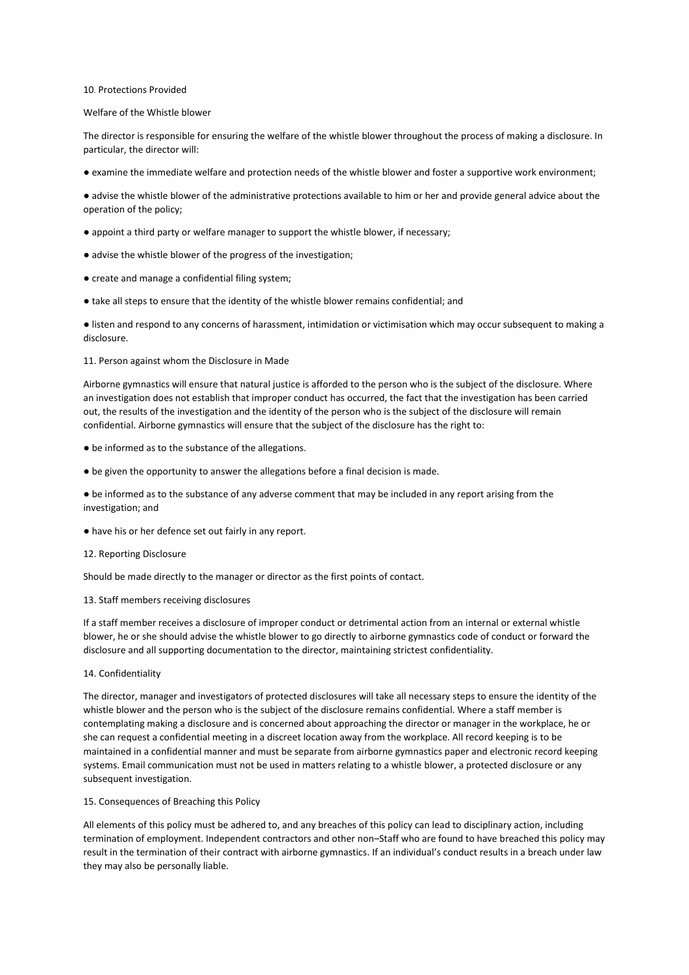#### 10. Protections Provided

#### Welfare of the Whistle blower

The director is responsible for ensuring the welfare of the whistle blower throughout the process of making a disclosure. In particular, the director will:

● examine the immediate welfare and protection needs of the whistle blower and foster a supportive work environment;

● advise the whistle blower of the administrative protections available to him or her and provide general advice about the operation of the policy;

- appoint a third party or welfare manager to support the whistle blower, if necessary;
- advise the whistle blower of the progress of the investigation;
- create and manage a confidential filing system;
- take all steps to ensure that the identity of the whistle blower remains confidential; and

● listen and respond to any concerns of harassment, intimidation or victimisation which may occur subsequent to making a disclosure.

## 11. Person against whom the Disclosure in Made

Airborne gymnastics will ensure that natural justice is afforded to the person who is the subject of the disclosure. Where an investigation does not establish that improper conduct has occurred, the fact that the investigation has been carried out, the results of the investigation and the identity of the person who is the subject of the disclosure will remain confidential. Airborne gymnastics will ensure that the subject of the disclosure has the right to:

- be informed as to the substance of the allegations.
- be given the opportunity to answer the allegations before a final decision is made.

● be informed as to the substance of any adverse comment that may be included in any report arising from the investigation; and

- have his or her defence set out fairly in any report.
- 12. Reporting Disclosure

Should be made directly to the manager or director as the first points of contact.

#### 13. Staff members receiving disclosures

If a staff member receives a disclosure of improper conduct or detrimental action from an internal or external whistle blower, he or she should advise the whistle blower to go directly to airborne gymnastics code of conduct or forward the disclosure and all supporting documentation to the director, maintaining strictest confidentiality.

14. Confidentiality

The director, manager and investigators of protected disclosures will take all necessary steps to ensure the identity of the whistle blower and the person who is the subject of the disclosure remains confidential. Where a staff member is contemplating making a disclosure and is concerned about approaching the director or manager in the workplace, he or she can request a confidential meeting in a discreet location away from the workplace. All record keeping is to be maintained in a confidential manner and must be separate from airborne gymnastics paper and electronic record keeping systems. Email communication must not be used in matters relating to a whistle blower, a protected disclosure or any subsequent investigation.

#### 15. Consequences of Breaching this Policy

All elements of this policy must be adhered to, and any breaches of this policy can lead to disciplinary action, including termination of employment. Independent contractors and other non–Staff who are found to have breached this policy may result in the termination of their contract with airborne gymnastics. If an individual's conduct results in a breach under law they may also be personally liable.